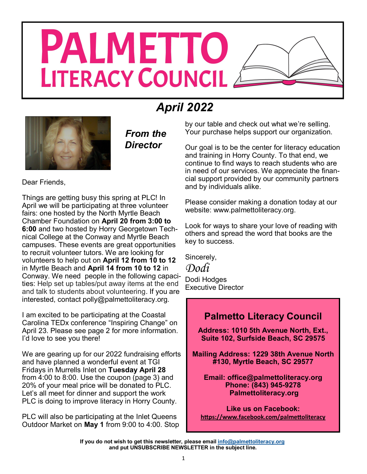# **PALMETTO** LITERACY COUNCIL

## *April 2022*



*From the Director*

Dear Friends,

Things are getting busy this spring at PLC! In April we will be participating at three volunteer fairs: one hosted by the North Myrtle Beach Chamber Foundation on **April 20 from 3:00 to 6:00** and two hosted by Horry Georgetown Technical College at the Conway and Myrtle Beach campuses. These events are great opportunities to recruit volunteer tutors. We are looking for volunteers to help out on **April 12 from 10 to 12**  in Myrtle Beach and **April 14 from 10 to 12** in Conway. We need people in the following capacities: Help set up tables/put away items at the end and talk to students about volunteering. If you are interested, contact polly@palmettoliteracy.org.

I am excited to be participating at the Coastal Carolina TEDx conference "Inspiring Change" on April 23. Please see page 2 for more information. I'd love to see you there!

We are gearing up for our 2022 fundraising efforts and have planned a wonderful event at TGI Fridays in Murrells Inlet on **Tuesday April 28**  from 4:00 to 8:00. Use the coupon (page 3) and 20% of your meal price will be donated to PLC. Let's all meet for dinner and support the work PLC is doing to improve literacy in Horry County.

PLC will also be participating at the Inlet Queens Outdoor Market on **May 1** from 9:00 to 4:00. Stop by our table and check out what we're selling. Your purchase helps support our organization.

Our goal is to be the center for literacy education and training in Horry County. To that end, we continue to find ways to reach students who are in need of our services. We appreciate the financial support provided by our community partners and by individuals alike.

Please consider making a donation today at our website: www.palmettoliteracy.org.

Look for ways to share your love of reading with others and spread the word that books are the key to success.

Sincerely,

*Dodi* Dodi Hodges Executive Director

## **Palmetto Literacy Council**

**Address: 1010 5th Avenue North, Ext., Suite 102, Surfside Beach, SC 29575**

**Mailing Address: 1229 38th Avenue North #130, Myrtle Beach, SC 29577** 

**Email: office@palmettoliteracy.org Phone: (843) 945-9278 Palmettoliteracy.org**

**Like us on Facebook: <https://www.facebook.com/palmettoliteracy>**

**If you do not wish to get this newsletter, please email [info@palmettoliteracy.org](mailto:info@palmettoliteracy.org) and put UNSUBSCRIBE NEWSLETTER in the subject line.**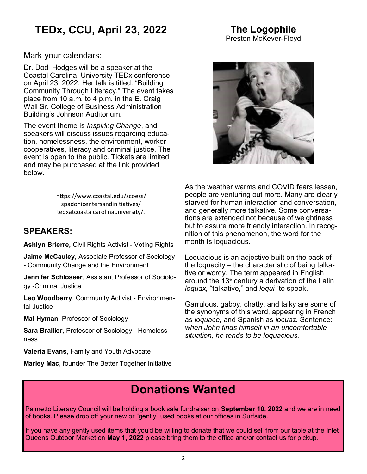## **TEDx, CCU, April 23, 2022**

#### **The Logophile** Preston McKever-Floyd

Mark your calendars:

Dr. Dodi Hodges will be a speaker at the Coastal Carolina University TEDx conference on April 23, 2022. Her talk is titled: "Building Community Through Literacy." The event takes place from 10 a.m. to 4 p.m. in the E. Craig Wall Sr. College of Business Administration Building's Johnson Auditorium.

The event theme is *Inspiring Change*, and speakers will discuss issues regarding education, homelessness, the environment, worker cooperatives, literacy and criminal justice. The event is open to the public. Tickets are limited and may be purchased at the link provided below.

> [https://www.coastal.edu/scoess/](https://www.coastal.edu/scoess/spadonicentersandinitiatives/tedxatcoastalcarolinauniversity/) [spadonicentersandinitiatives/](https://www.coastal.edu/scoess/spadonicentersandinitiatives/tedxatcoastalcarolinauniversity/) [tedxatcoastalcarolinauniversity/.](https://www.coastal.edu/scoess/spadonicentersandinitiatives/tedxatcoastalcarolinauniversity/)

## **SPEAKERS:**

**Ashlyn Brierre,** Civil Rights Activist - Voting Rights

**Jaime McCauley**, Associate Professor of Sociology - Community Change and the Environment

**Jennifer Schlosser**, Assistant Professor of Sociology -Criminal Justice

**Leo Woodberry**, Community Activist - Environmental Justice

**Mal Hyman**, Professor of Sociology

**Sara Brallier**, Professor of Sociology - Homelessness

**Valeria Evans**, Family and Youth Advocate

**Marley Mac**, founder The Better Together Initiative



As the weather warms and COVID fears lessen, people are venturing out more. Many are clearly starved for human interaction and conversation, and generally more talkative. Some conversations are extended not because of weightiness but to assure more friendly interaction. In recognition of this phenomenon, the word for the month is loquacious.

Loquacious is an adjective built on the back of the loquacity – the characteristic of being talkative or wordy. The term appeared in English around the 13<sup>th</sup> century a derivation of the Latin *loquax,* "talkative," and *loqui* "to speak.

Garrulous, gabby, chatty, and talky are some of the synonyms of this word, appearing in French as *loquace,* and Spanish as *locuaz.* Sentence: *when John finds himself in an uncomfortable situation, he tends to be loquacious.*

## **Donations Wanted**

Palmetto Literacy Council will be holding a book sale fundraiser on **September 10, 2022** and we are in need of books. Please drop off your new or "gently" used books at our offices in Surfside.

If you have any gently used items that you'd be willing to donate that we could sell from our table at the Inlet Queens Outdoor Market on **May 1, 2022** please bring them to the office and/or contact us for pickup.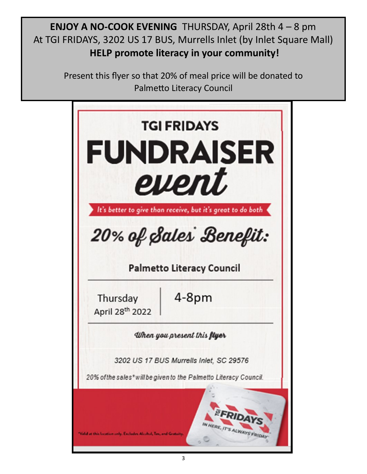**ENJOY A NO-COOK EVENING** THURSDAY, April 28th 4 – 8 pm At TGI FRIDAYS, 3202 US 17 BUS, Murrells Inlet (by Inlet Square Mall) **HELP promote literacy in your community!**

> Present this flyer so that 20% of meal price will be donated to Palmetto Literacy Council